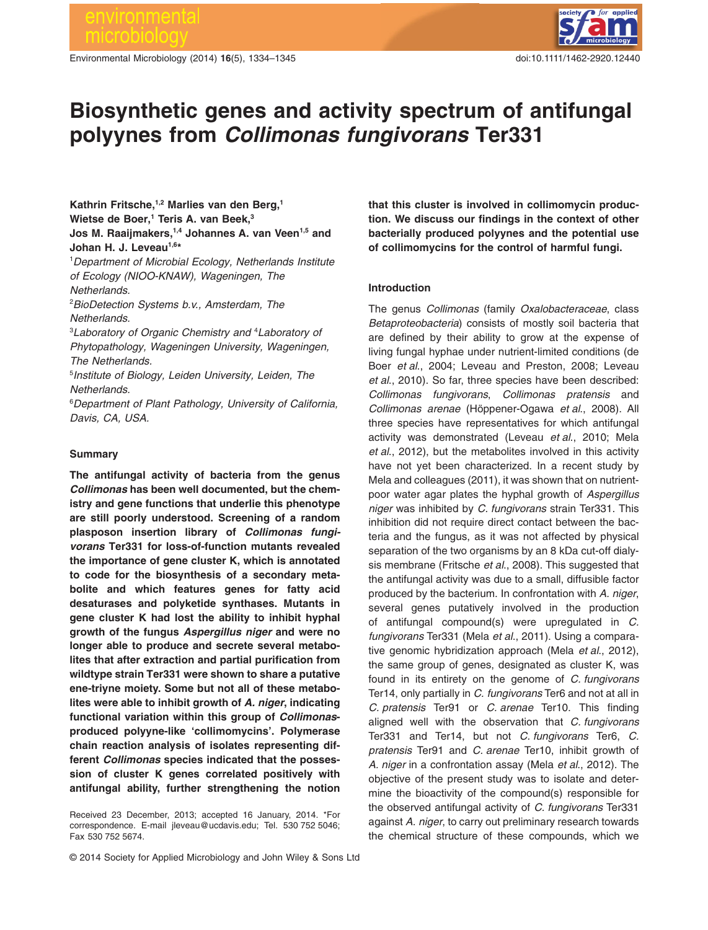Environmental Microbiology (2014) **16**(5), 1334–1345 doi:10.1111/1462-2920.12440



# **Biosynthetic genes and activity spectrum of antifungal polyynes from** *Collimonas fungivorans* **Ter331**

**Kathrin Fritsche,1,2 Marlies van den Berg,1** Wietse de Boer,<sup>1</sup> Teris A. van Beek,<sup>3</sup> **Jos M. Raaijmakers,1,4 Johannes A. van Veen1,5 and** Johan H. J. Leveau<sup>1,6\*</sup>

1 *Department of Microbial Ecology, Netherlands Institute of Ecology (NIOO-KNAW), Wageningen, The Netherlands.*

2 *BioDetection Systems b.v., Amsterdam, The Netherlands.*

3 *Laboratory of Organic Chemistry and* <sup>4</sup> *Laboratory of Phytopathology, Wageningen University, Wageningen, The Netherlands.*

5 *Institute of Biology, Leiden University, Leiden, The Netherlands.*

6 *Department of Plant Pathology, University of California, Davis, CA, USA.*

# **Summary**

**The antifungal activity of bacteria from the genus** *Collimonas* **has been well documented, but the chemistry and gene functions that underlie this phenotype are still poorly understood. Screening of a random plasposon insertion library of** *Collimonas fungivorans* **Ter331 for loss-of-function mutants revealed the importance of gene cluster K, which is annotated to code for the biosynthesis of a secondary metabolite and which features genes for fatty acid desaturases and polyketide synthases. Mutants in gene cluster K had lost the ability to inhibit hyphal growth of the fungus** *Aspergillus niger* **and were no longer able to produce and secrete several metabolites that after extraction and partial purification from wildtype strain Ter331 were shown to share a putative ene-triyne moiety. Some but not all of these metabolites were able to inhibit growth of** *A. niger***, indicating functional variation within this group of** *Collimonas***produced polyyne-like 'collimomycins'. Polymerase chain reaction analysis of isolates representing different** *Collimonas* **species indicated that the possession of cluster K genes correlated positively with antifungal ability, further strengthening the notion**

Received 23 December, 2013; accepted 16 January, 2014. \*For correspondence. E-mail [jleveau@ucdavis.edu;](mailto:jleveau@ucdavis.edu) Tel. 530 752 5046; Fax 530 752 5674.

**that this cluster is involved in collimomycin production. We discuss our findings in the context of other bacterially produced polyynes and the potential use of collimomycins for the control of harmful fungi.**

## **Introduction**

The genus *Collimonas* (family *Oxalobacteraceae*, class *Betaproteobacteria*) consists of mostly soil bacteria that are defined by their ability to grow at the expense of living fungal hyphae under nutrient-limited conditions (de Boer *et al*., 2004; Leveau and Preston, 2008; Leveau *et al*., 2010). So far, three species have been described: *Collimonas fungivorans*, *Collimonas pratensis* and *Collimonas arenae* (Höppener-Ogawa *et al*., 2008). All three species have representatives for which antifungal activity was demonstrated (Leveau *et al*., 2010; Mela *et al*., 2012), but the metabolites involved in this activity have not yet been characterized. In a recent study by Mela and colleagues (2011), it was shown that on nutrientpoor water agar plates the hyphal growth of *Aspergillus niger* was inhibited by *C. fungivorans* strain Ter331. This inhibition did not require direct contact between the bacteria and the fungus, as it was not affected by physical separation of the two organisms by an 8 kDa cut-off dialysis membrane (Fritsche *et al*., 2008). This suggested that the antifungal activity was due to a small, diffusible factor produced by the bacterium. In confrontation with *A. niger*, several genes putatively involved in the production of antifungal compound(s) were upregulated in *C. fungivorans* Ter331 (Mela *et al*., 2011). Using a comparative genomic hybridization approach (Mela *et al*., 2012), the same group of genes, designated as cluster K, was found in its entirety on the genome of *C. fungivorans* Ter14, only partially in *C. fungivorans* Ter6 and not at all in *C. pratensis* Ter91 or *C. arenae* Ter10. This finding aligned well with the observation that *C. fungivorans* Ter331 and Ter14, but not *C. fungivorans* Ter6, *C. pratensis* Ter91 and *C. arenae* Ter10, inhibit growth of *A. niger* in a confrontation assay (Mela *et al*., 2012). The objective of the present study was to isolate and determine the bioactivity of the compound(s) responsible for the observed antifungal activity of *C. fungivorans* Ter331 against *A. niger*, to carry out preliminary research towards the chemical structure of these compounds, which we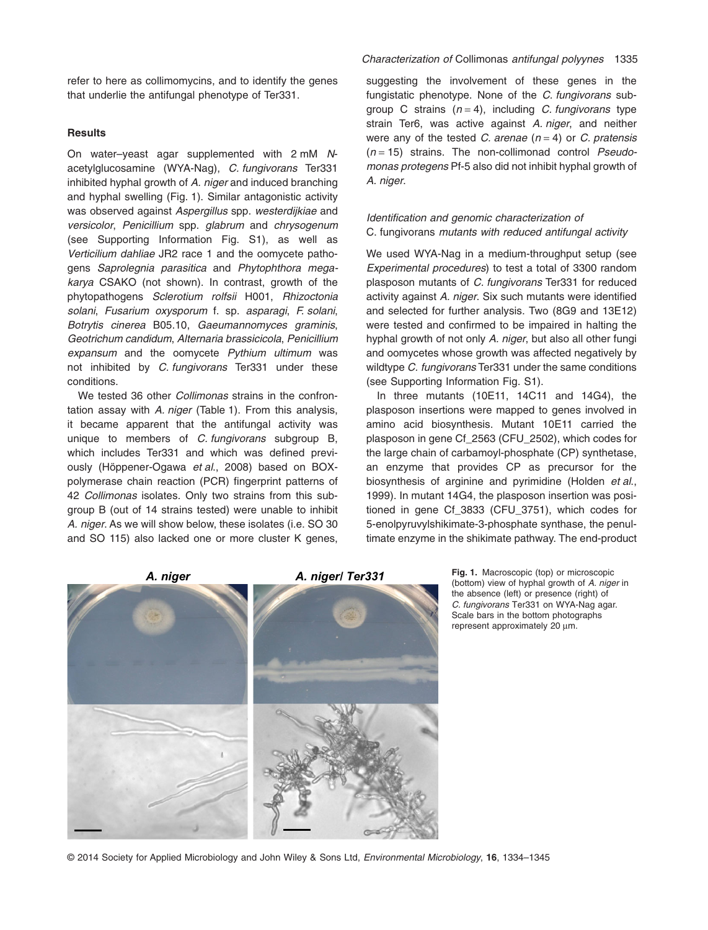refer to here as collimomycins, and to identify the genes that underlie the antifungal phenotype of Ter331.

# **Results**

On water–yeast agar supplemented with 2 mM *N*acetylglucosamine (WYA-Nag), *C. fungivorans* Ter331 inhibited hyphal growth of *A. niger* and induced branching and hyphal swelling (Fig. 1). Similar antagonistic activity was observed against *Aspergillus* spp. *westerdijkiae* and *versicolor*, *Penicillium* spp. *glabrum* and *chrysogenum* (see Supporting Information Fig. S1), as well as *Verticilium dahliae* JR2 race 1 and the oomycete pathogens *Saprolegnia parasitica* and *Phytophthora megakarya* CSAKO (not shown). In contrast, growth of the phytopathogens *Sclerotium rolfsii* H001, *Rhizoctonia solani*, *Fusarium oxysporum* f. sp. *asparagi*, *F. solani*, *Botrytis cinerea* B05.10, *Gaeumannomyces graminis*, *Geotrichum candidum*, *Alternaria brassicicola*, *Penicillium expansum* and the oomycete *Pythium ultimum* was not inhibited by *C. fungivorans* Ter331 under these conditions.

We tested 36 other *Collimonas* strains in the confrontation assay with *A. niger* (Table 1). From this analysis, it became apparent that the antifungal activity was unique to members of *C. fungivorans* subgroup B, which includes Ter331 and which was defined previously (Höppener-Ogawa *et al*., 2008) based on BOXpolymerase chain reaction (PCR) fingerprint patterns of 42 *Collimonas* isolates. Only two strains from this subgroup B (out of 14 strains tested) were unable to inhibit *A. niger*. As we will show below, these isolates (i.e. SO 30 and SO 115) also lacked one or more cluster K genes, suggesting the involvement of these genes in the fungistatic phenotype. None of the *C. fungivorans* subgroup C strains (*n* = 4), including *C. fungivorans* type strain Ter6, was active against *A. niger*, and neither were any of the tested *C. arenae* (*n* = 4) or *C. pratensis* (*n* = 15) strains. The non-collimonad control *Pseudomonas protegens* Pf-5 also did not inhibit hyphal growth of *A. niger*.

# *Identification and genomic characterization of* C. fungivorans *mutants with reduced antifungal activity*

We used WYA-Nag in a medium-throughput setup (see *Experimental procedures*) to test a total of 3300 random plasposon mutants of *C. fungivorans* Ter331 for reduced activity against *A. niger*. Six such mutants were identified and selected for further analysis. Two (8G9 and 13E12) were tested and confirmed to be impaired in halting the hyphal growth of not only *A. niger*, but also all other fungi and oomycetes whose growth was affected negatively by wildtype *C. fungivorans* Ter331 under the same conditions (see Supporting Information Fig. S1).

In three mutants (10E11, 14C11 and 14G4), the plasposon insertions were mapped to genes involved in amino acid biosynthesis. Mutant 10E11 carried the plasposon in gene Cf\_2563 (CFU\_2502), which codes for the large chain of carbamoyl-phosphate (CP) synthetase, an enzyme that provides CP as precursor for the biosynthesis of arginine and pyrimidine (Holden *et al*., 1999). In mutant 14G4, the plasposon insertion was positioned in gene Cf\_3833 (CFU\_3751), which codes for 5-enolpyruvylshikimate-3-phosphate synthase, the penultimate enzyme in the shikimate pathway. The end-product



the absence (left) or presence (right) of *C. fungivorans* Ter331 on WYA-Nag agar. Scale bars in the bottom photographs represent approximately 20 μm.

© 2014 Society for Applied Microbiology and John Wiley & Sons Ltd, *Environmental Microbiology*, **16**, 1334–1345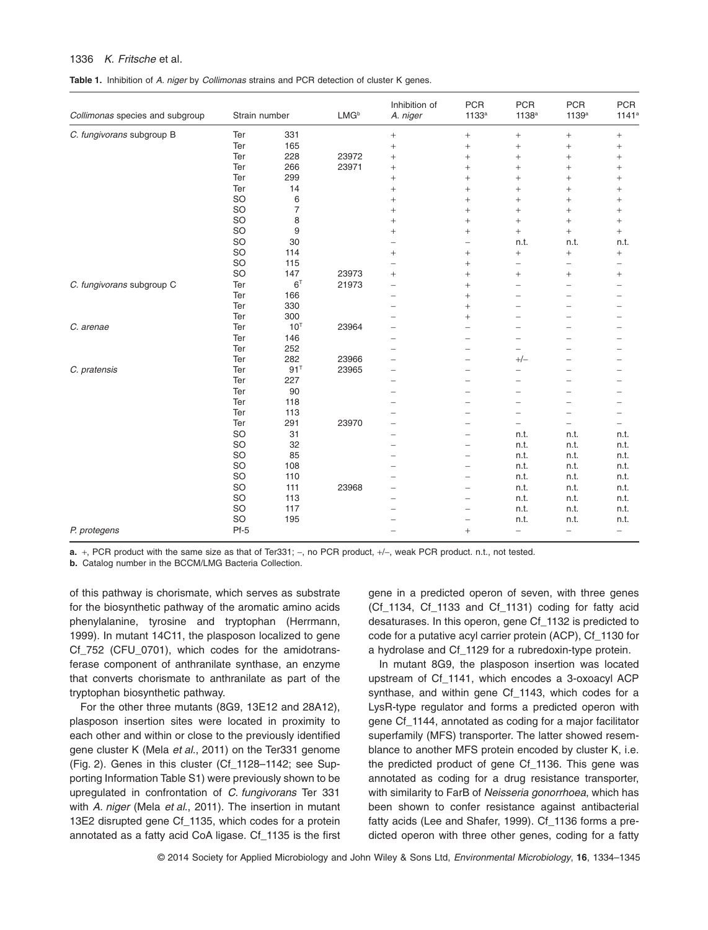# 1336 *K. Fritsche* et al*.*

**Table 1.** Inhibition of *A. niger* by *Collimonas* strains and PCR detection of cluster K genes.

| Collimonas species and subgroup | Strain number |                | $LMG^b$ | Inhibition of<br>A. niger | <b>PCR</b><br>1133 <sup>a</sup> | <b>PCR</b><br>1138 <sup>a</sup> | <b>PCR</b><br>1139a      | <b>PCR</b><br>$1141^a$   |
|---------------------------------|---------------|----------------|---------|---------------------------|---------------------------------|---------------------------------|--------------------------|--------------------------|
| C. fungivorans subgroup B       | Ter           | 331            |         | $\boldsymbol{+}$          | $^+$                            | $^{+}$                          | $^{+}$                   | $\qquad \qquad +$        |
|                                 | Ter           | 165            |         | $^{+}$                    | $^{+}$                          | $^{+}$                          | $^{+}$                   | $^{+}$                   |
|                                 | Ter           | 228            | 23972   | $^{+}$                    | $^{+}$                          | $\ddot{}$                       | $^{+}$                   | $^{+}$                   |
|                                 | Ter           | 266            | 23971   | $\! +$                    | $\! +$                          | $^{+}$                          | $^{+}$                   | $^{+}$                   |
|                                 | Ter           | 299            |         | $\! +$                    | $\! +$                          | $^{+}$                          | $^{+}$                   | $^{+}$                   |
|                                 | Ter           | 14             |         | $^{+}$                    | $^{+}$                          | $^{+}$                          | $^{+}$                   | $^{+}$                   |
|                                 | SO            | 6              |         | $\ddot{}$                 | $\ddot{}$                       | $\ddot{}$                       | $^{+}$                   | $\ddot{}$                |
|                                 | SO            | $\overline{7}$ |         | $^{+}$                    | $^{+}$                          | $^+$                            | $^{+}$                   | $^{+}$                   |
|                                 | SO            | 8              |         | $^{+}$                    | $^{+}$                          | $+$                             | $^{+}$                   | $\ddot{}$                |
|                                 | SO            | 9              |         | $^{+}$                    | $\ddot{}$                       | $^{+}$                          | $\ddot{}$                | $^{+}$                   |
|                                 | SO            | 30             |         | $\overline{\phantom{0}}$  | $\qquad \qquad -$               | n.t.                            | n.t.                     | n.t.                     |
|                                 | SO            | 114            |         | $\ddot{}$                 | $^{+}$                          | $\ddot{}$                       | $^{+}$                   | $\qquad \qquad +$        |
|                                 | SO            | 115            |         | $\overline{\phantom{0}}$  | $^{+}$                          | $\overline{\phantom{0}}$        | $\qquad \qquad -$        | -                        |
|                                 | SO            | 147            | 23973   | $\qquad \qquad +$         | $^{+}$                          | $^{+}$                          | $\qquad \qquad +$        | $^{+}$                   |
| C. fungivorans subgroup C       | Ter           | $6^{\top}$     | 21973   |                           | $\ddot{}$                       | $\overline{\phantom{0}}$        | $\qquad \qquad -$        | -                        |
|                                 | Ter           | 166            |         | $\overline{\phantom{0}}$  | $\ddot{}$                       | $\overline{\phantom{0}}$        | $\qquad \qquad -$        | $\overline{\phantom{0}}$ |
|                                 | Ter           | 330            |         | $\overline{\phantom{0}}$  | $\ddot{+}$                      | L,                              | $\overline{\phantom{0}}$ |                          |
|                                 | Ter           | 300            |         | -                         | $^{+}$                          | $\overline{\phantom{0}}$        | $\overline{\phantom{0}}$ |                          |
| C. arenae                       | Ter           | $10^T$         | 23964   | $\overline{\phantom{0}}$  | $\equiv$                        | $\overline{\phantom{0}}$        | $=$                      |                          |
|                                 | Ter           | 146            |         |                           | $\equiv$                        | $\overline{\phantom{0}}$        | $=$                      |                          |
|                                 | Ter           | 252            |         |                           |                                 | $\overline{\phantom{0}}$        | $\overline{\phantom{0}}$ |                          |
|                                 | Ter           | 282            | 23966   |                           | $\overline{\phantom{0}}$        | $+/-$                           | -                        |                          |
| C. pratensis                    | Ter           | $91^T$         | 23965   | $\overline{\phantom{0}}$  | $\overline{\phantom{0}}$        | $\overline{\phantom{0}}$        | $\qquad \qquad -$        |                          |
|                                 | Ter           | 227            |         | $\overline{\phantom{0}}$  |                                 | $\overline{\phantom{0}}$        | $\overline{\phantom{0}}$ |                          |
|                                 | Ter           | 90             |         |                           | $\overline{\phantom{0}}$        | $\overline{\phantom{0}}$        | $=$                      |                          |
|                                 | Ter           | 118            |         | L.                        |                                 | -                               | $=$                      |                          |
|                                 | Ter           | 113            |         |                           |                                 | $\overline{\phantom{0}}$        | $\overline{\phantom{0}}$ |                          |
|                                 | Ter           | 291            | 23970   | $\overline{\phantom{0}}$  |                                 | $\overline{\phantom{0}}$        | $\qquad \qquad -$        |                          |
|                                 | SO            | 31             |         | $\overline{\phantom{0}}$  |                                 | n.t.                            | n.t.                     | n.t.                     |
|                                 | SO            | 32             |         | -                         | $\overline{\phantom{0}}$        | n.t.                            | n.t.                     | n.t.                     |
|                                 | SO            | 85             |         |                           | $\overline{\phantom{0}}$        | n.t.                            | n.t.                     | n.t.                     |
|                                 | SO            | 108            |         |                           | $\overline{\phantom{0}}$        | n.t.                            | n.t.                     | n.t.                     |
|                                 | SO            | 110            |         |                           | $\overline{\phantom{0}}$        | n.t.                            | n.t.                     | n.t.                     |
|                                 | SO            | 111            | 23968   |                           | $\overline{\phantom{0}}$        | n.t.                            | n.t.                     | n.t.                     |
|                                 | SO            | 113            |         |                           |                                 | n.t.                            | n.t.                     | n.t.                     |
|                                 | SO            | 117            |         |                           |                                 | n.t.                            | n.t.                     | n.t.                     |
|                                 | SO            | 195            |         | -                         | $\qquad \qquad -$               | n.t.                            | n.t.                     | n.t.                     |
| P. protegens                    | Pf-5          |                |         |                           | $+$                             | $\overline{\phantom{0}}$        | $\equiv$                 | $\qquad \qquad -$        |

**a.** +, PCR product with the same size as that of Ter331; -, no PCR product, +/-, weak PCR product. n.t., not tested.

**b.** Catalog number in the BCCM/LMG Bacteria Collection.

of this pathway is chorismate, which serves as substrate for the biosynthetic pathway of the aromatic amino acids phenylalanine, tyrosine and tryptophan (Herrmann, 1999). In mutant 14C11, the plasposon localized to gene Cf\_752 (CFU\_0701), which codes for the amidotransferase component of anthranilate synthase, an enzyme that converts chorismate to anthranilate as part of the tryptophan biosynthetic pathway.

For the other three mutants (8G9, 13E12 and 28A12), plasposon insertion sites were located in proximity to each other and within or close to the previously identified gene cluster K (Mela *et al*., 2011) on the Ter331 genome (Fig. 2). Genes in this cluster (Cf\_1128–1142; see Supporting Information Table S1) were previously shown to be upregulated in confrontation of *C. fungivorans* Ter 331 with *A. niger* (Mela *et al*., 2011). The insertion in mutant 13E2 disrupted gene Cf\_1135, which codes for a protein annotated as a fatty acid CoA ligase. Cf\_1135 is the first gene in a predicted operon of seven, with three genes (Cf\_1134, Cf\_1133 and Cf\_1131) coding for fatty acid desaturases. In this operon, gene Cf\_1132 is predicted to code for a putative acyl carrier protein (ACP), Cf\_1130 for a hydrolase and Cf\_1129 for a rubredoxin-type protein.

In mutant 8G9, the plasposon insertion was located upstream of Cf\_1141, which encodes a 3-oxoacyl ACP synthase, and within gene Cf\_1143, which codes for a LysR-type regulator and forms a predicted operon with gene Cf\_1144, annotated as coding for a major facilitator superfamily (MFS) transporter. The latter showed resemblance to another MFS protein encoded by cluster K, i.e. the predicted product of gene Cf\_1136. This gene was annotated as coding for a drug resistance transporter, with similarity to FarB of *Neisseria gonorrhoea*, which has been shown to confer resistance against antibacterial fatty acids (Lee and Shafer, 1999). Cf\_1136 forms a predicted operon with three other genes, coding for a fatty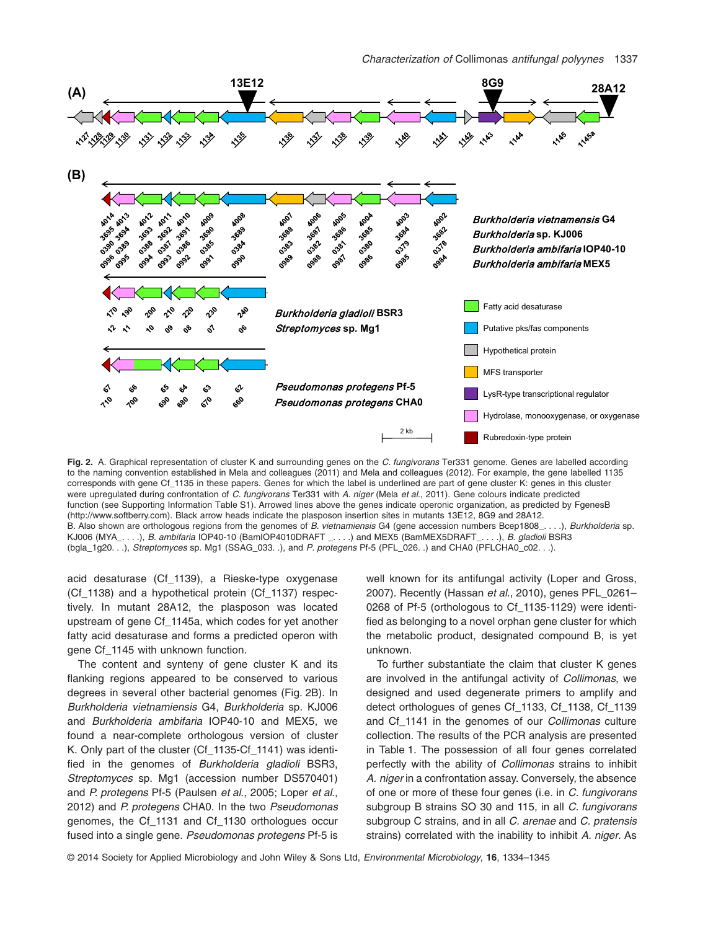

**Fig. 2.** A. Graphical representation of cluster K and surrounding genes on the *C. fungivorans* Ter331 genome. Genes are labelled according to the naming convention established in Mela and colleagues (2011) and Mela and colleagues (2012). For example, the gene labelled 1135 corresponds with gene Cf\_1135 in these papers. Genes for which the label is underlined are part of gene cluster K: genes in this cluster were upregulated during confrontation of *C. fungivorans* Ter331 with *A. niger* (Mela *et al*., 2011). Gene colours indicate predicted function (see Supporting Information Table S1). Arrowed lines above the genes indicate operonic organization, as predicted by FgenesB [\(http://www.softberry.com\)](http://www.softberry.com). Black arrow heads indicate the plasposon insertion sites in mutants 13E12, 8G9 and 28A12. B. Also shown are orthologous regions from the genomes of *B. vietnamiensis* G4 (gene accession numbers Bcep1808\_. . . .), *Burkholderia* sp. KJ006 (MYA\_. . . .), *B. ambifaria* IOP40-10 (BamIOP4010DRAFT \_. . . .) and MEX5 (BamMEX5DRAFT\_. . . .), *B. gladioli* BSR3 (bgla\_1g20. . .), *Streptomyces* sp. Mg1 (SSAG\_033. .), and *P. protegens* Pf-5 (PFL\_026. .) and CHA0 (PFLCHA0\_c02. . .).

acid desaturase (Cf\_1139), a Rieske-type oxygenase (Cf\_1138) and a hypothetical protein (Cf\_1137) respectively. In mutant 28A12, the plasposon was located upstream of gene Cf\_1145a, which codes for yet another fatty acid desaturase and forms a predicted operon with gene Cf\_1145 with unknown function.

The content and synteny of gene cluster K and its flanking regions appeared to be conserved to various degrees in several other bacterial genomes (Fig. 2B). In *Burkholderia vietnamiensis* G4, *Burkholderia* sp. KJ006 and *Burkholderia ambifaria* IOP40-10 and MEX5, we found a near-complete orthologous version of cluster K. Only part of the cluster (Cf\_1135-Cf\_1141) was identified in the genomes of *Burkholderia gladioli* BSR3, *Streptomyces* sp. Mg1 (accession number DS570401) and *P. protegens* Pf-5 (Paulsen *et al*., 2005; Loper *et al*., 2012) and *P. protegens* CHA0. In the two *Pseudomonas* genomes, the Cf\_1131 and Cf\_1130 orthologues occur fused into a single gene. *Pseudomonas protegens* Pf-5 is well known for its antifungal activity (Loper and Gross, 2007). Recently (Hassan *et al*., 2010), genes PFL\_0261– 0268 of Pf-5 (orthologous to Cf\_1135-1129) were identified as belonging to a novel orphan gene cluster for which the metabolic product, designated compound B, is yet unknown.

To further substantiate the claim that cluster K genes are involved in the antifungal activity of *Collimonas*, we designed and used degenerate primers to amplify and detect orthologues of genes Cf\_1133, Cf\_1138, Cf\_1139 and Cf\_1141 in the genomes of our *Collimonas* culture collection. The results of the PCR analysis are presented in Table 1. The possession of all four genes correlated perfectly with the ability of *Collimonas* strains to inhibit *A. niger* in a confrontation assay. Conversely, the absence of one or more of these four genes (i.e. in *C. fungivorans* subgroup B strains SO 30 and 115, in all *C. fungivorans* subgroup C strains, and in all *C. arenae* and *C. pratensis* strains) correlated with the inability to inhibit *A. niger*. As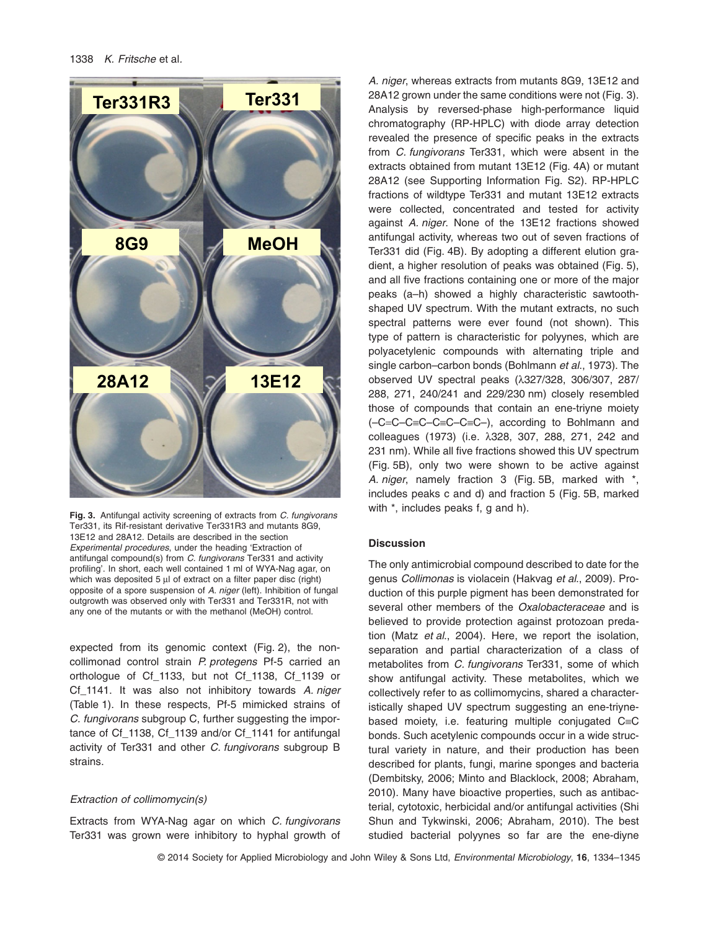

**Fig. 3.** Antifungal activity screening of extracts from *C. fungivorans* Ter331, its Rif-resistant derivative Ter331R3 and mutants 8G9, 13E12 and 28A12. Details are described in the section *Experimental procedures*, under the heading 'Extraction of antifungal compound(s) from *C. fungivorans* Ter331 and activity profiling'. In short, each well contained 1 ml of WYA-Nag agar, on which was deposited 5 μl of extract on a filter paper disc (right) opposite of a spore suspension of *A. niger* (left). Inhibition of fungal outgrowth was observed only with Ter331 and Ter331R, not with any one of the mutants or with the methanol (MeOH) control.

expected from its genomic context (Fig. 2), the noncollimonad control strain *P. protegens* Pf-5 carried an orthologue of Cf\_1133, but not Cf\_1138, Cf\_1139 or Cf\_1141. It was also not inhibitory towards *A. niger* (Table 1). In these respects, Pf-5 mimicked strains of *C. fungivorans* subgroup C, further suggesting the importance of Cf\_1138, Cf\_1139 and/or Cf\_1141 for antifungal activity of Ter331 and other *C. fungivorans* subgroup B strains.

# *Extraction of collimomycin(s)*

Extracts from WYA-Nag agar on which *C. fungivorans* Ter331 was grown were inhibitory to hyphal growth of

*A. niger*, whereas extracts from mutants 8G9, 13E12 and 28A12 grown under the same conditions were not (Fig. 3). Analysis by reversed-phase high-performance liquid chromatography (RP-HPLC) with diode array detection revealed the presence of specific peaks in the extracts from *C. fungivorans* Ter331, which were absent in the extracts obtained from mutant 13E12 (Fig. 4A) or mutant 28A12 (see Supporting Information Fig. S2). RP-HPLC fractions of wildtype Ter331 and mutant 13E12 extracts were collected, concentrated and tested for activity against *A. niger*. None of the 13E12 fractions showed antifungal activity, whereas two out of seven fractions of Ter331 did (Fig. 4B). By adopting a different elution gradient, a higher resolution of peaks was obtained (Fig. 5), and all five fractions containing one or more of the major peaks (a–h) showed a highly characteristic sawtoothshaped UV spectrum. With the mutant extracts, no such spectral patterns were ever found (not shown). This type of pattern is characteristic for polyynes, which are polyacetylenic compounds with alternating triple and single carbon–carbon bonds (Bohlmann *et al*., 1973). The observed UV spectral peaks (λ327/328, 306/307, 287/ 288, 271, 240/241 and 229/230 nm) closely resembled those of compounds that contain an ene-triyne moiety (–C=C–C≡C–C≡C–C≡C–), according to Bohlmann and colleagues (1973) (i.e. λ328, 307, 288, 271, 242 and 231 nm). While all five fractions showed this UV spectrum (Fig. 5B), only two were shown to be active against *A. niger*, namely fraction 3 (Fig. 5B, marked with \*, includes peaks c and d) and fraction 5 (Fig. 5B, marked with  $*$ , includes peaks f, q and h).

# **Discussion**

The only antimicrobial compound described to date for the genus *Collimonas* is violacein (Hakvag *et al*., 2009). Production of this purple pigment has been demonstrated for several other members of the *Oxalobacteraceae* and is believed to provide protection against protozoan predation (Matz *et al*., 2004). Here, we report the isolation, separation and partial characterization of a class of metabolites from *C. fungivorans* Ter331, some of which show antifungal activity. These metabolites, which we collectively refer to as collimomycins, shared a characteristically shaped UV spectrum suggesting an ene-triynebased moiety, i.e. featuring multiple conjugated C≡C bonds. Such acetylenic compounds occur in a wide structural variety in nature, and their production has been described for plants, fungi, marine sponges and bacteria (Dembitsky, 2006; Minto and Blacklock, 2008; Abraham, 2010). Many have bioactive properties, such as antibacterial, cytotoxic, herbicidal and/or antifungal activities (Shi Shun and Tykwinski, 2006; Abraham, 2010). The best studied bacterial polyynes so far are the ene-diyne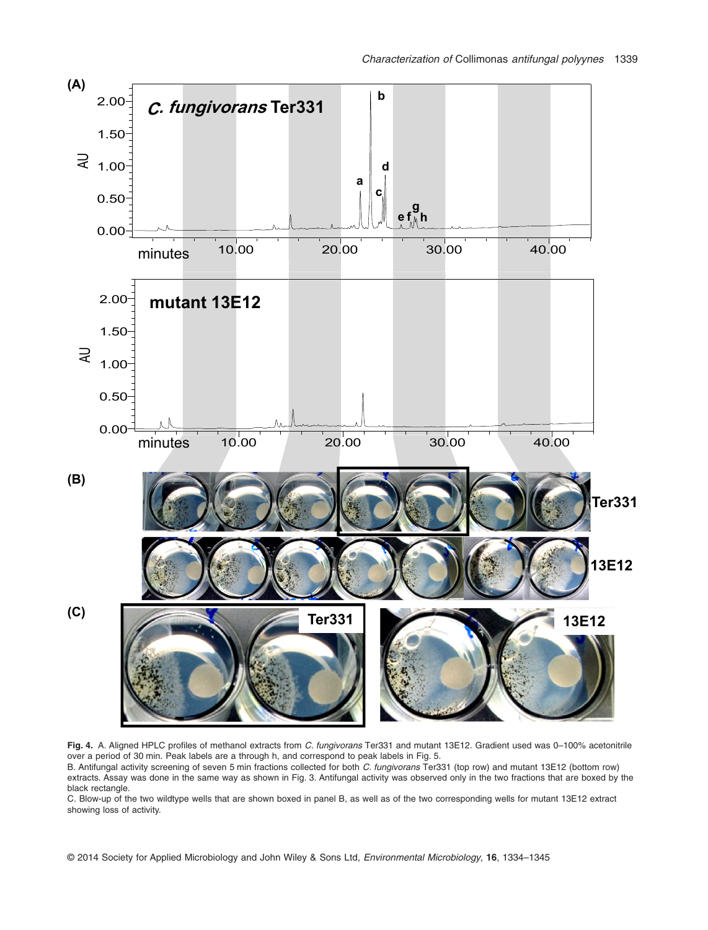

**Fig. 4.** A. Aligned HPLC profiles of methanol extracts from *C. fungivorans* Ter331 and mutant 13E12. Gradient used was 0–100% acetonitrile over a period of 30 min. Peak labels are a through h, and correspond to peak labels in Fig. 5.

B. Antifungal activity screening of seven 5 min fractions collected for both *C. fungivorans* Ter331 (top row) and mutant 13E12 (bottom row) extracts. Assay was done in the same way as shown in Fig. 3. Antifungal activity was observed only in the two fractions that are boxed by the black rectangle.

C. Blow-up of the two wildtype wells that are shown boxed in panel B, as well as of the two corresponding wells for mutant 13E12 extract showing loss of activity.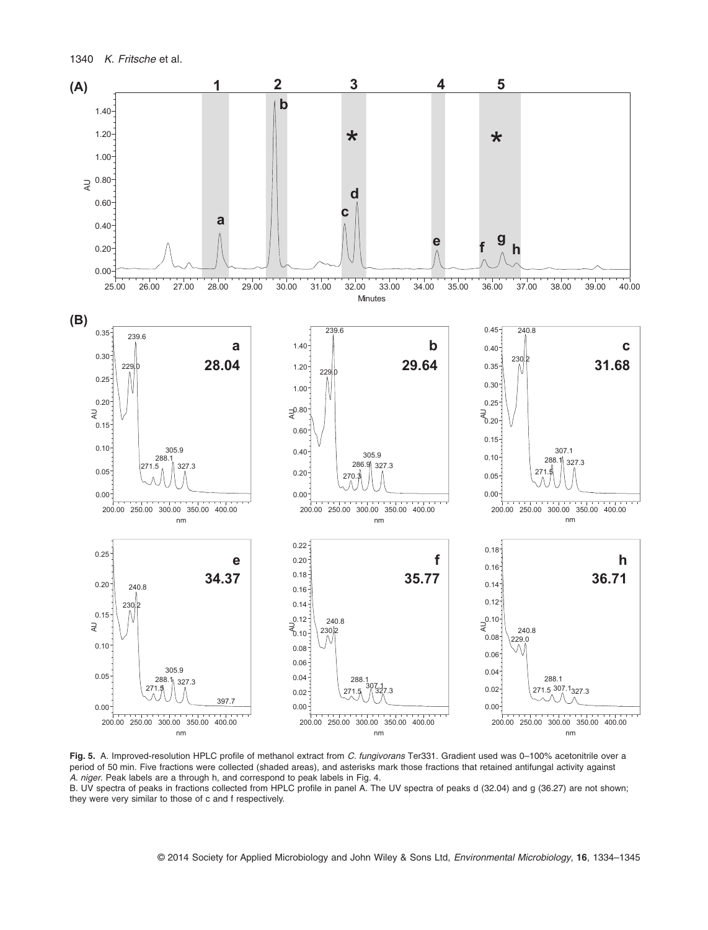

**Fig. 5.** A. Improved-resolution HPLC profile of methanol extract from *C. fungivorans* Ter331. Gradient used was 0–100% acetonitrile over a period of 50 min. Five fractions were collected (shaded areas), and asterisks mark those fractions that retained antifungal activity against *A. niger*. Peak labels are a through h, and correspond to peak labels in Fig. 4.

B. UV spectra of peaks in fractions collected from HPLC profile in panel A. The UV spectra of peaks d (32.04) and g (36.27) are not shown; they were very similar to those of c and f respectively.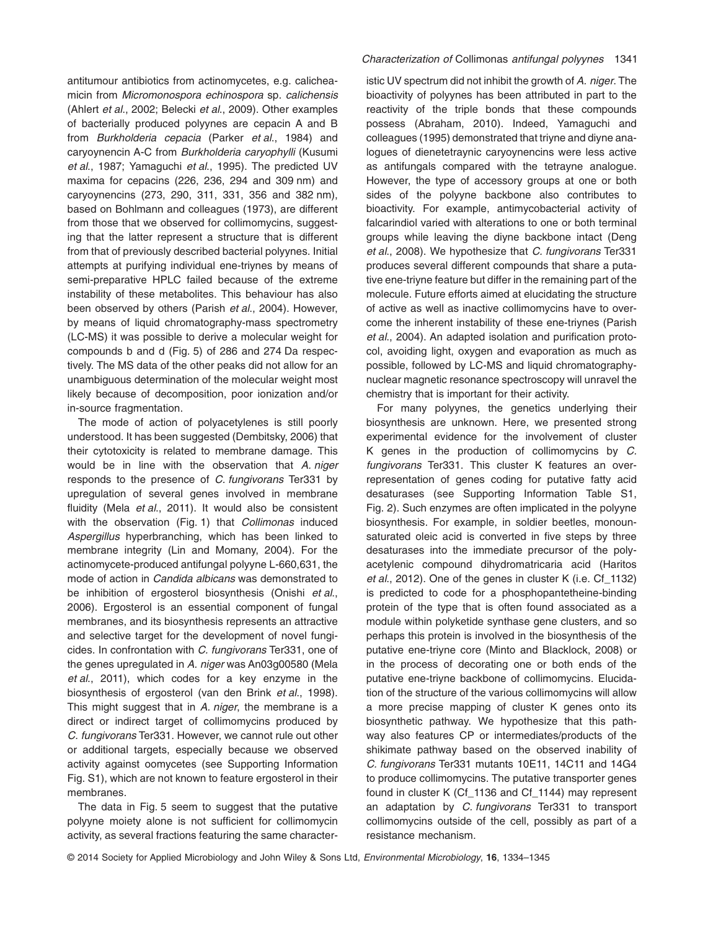antitumour antibiotics from actinomycetes, e.g. calicheamicin from *Micromonospora echinospora* sp. *calichensis* (Ahlert *et al*., 2002; Belecki *et al*., 2009). Other examples of bacterially produced polyynes are cepacin A and B from *Burkholderia cepacia* (Parker *et al*., 1984) and caryoynencin A-C from *Burkholderia caryophylli* (Kusumi *et al*., 1987; Yamaguchi *et al*., 1995). The predicted UV maxima for cepacins (226, 236, 294 and 309 nm) and caryoynencins (273, 290, 311, 331, 356 and 382 nm), based on Bohlmann and colleagues (1973), are different from those that we observed for collimomycins, suggesting that the latter represent a structure that is different from that of previously described bacterial polyynes. Initial attempts at purifying individual ene-triynes by means of semi-preparative HPLC failed because of the extreme instability of these metabolites. This behaviour has also been observed by others (Parish *et al*., 2004). However, by means of liquid chromatography-mass spectrometry (LC-MS) it was possible to derive a molecular weight for compounds b and d (Fig. 5) of 286 and 274 Da respectively. The MS data of the other peaks did not allow for an unambiguous determination of the molecular weight most likely because of decomposition, poor ionization and/or in-source fragmentation.

The mode of action of polyacetylenes is still poorly understood. It has been suggested (Dembitsky, 2006) that their cytotoxicity is related to membrane damage. This would be in line with the observation that *A. niger* responds to the presence of *C. fungivorans* Ter331 by upregulation of several genes involved in membrane fluidity (Mela *et al*., 2011). It would also be consistent with the observation (Fig. 1) that *Collimonas* induced *Aspergillus* hyperbranching, which has been linked to membrane integrity (Lin and Momany, 2004). For the actinomycete-produced antifungal polyyne L-660,631, the mode of action in *Candida albicans* was demonstrated to be inhibition of ergosterol biosynthesis (Onishi *et al*., 2006). Ergosterol is an essential component of fungal membranes, and its biosynthesis represents an attractive and selective target for the development of novel fungicides. In confrontation with *C. fungivorans* Ter331, one of the genes upregulated in *A. niger* was An03g00580 (Mela *et al*., 2011), which codes for a key enzyme in the biosynthesis of ergosterol (van den Brink *et al*., 1998). This might suggest that in *A. niger*, the membrane is a direct or indirect target of collimomycins produced by *C. fungivorans* Ter331. However, we cannot rule out other or additional targets, especially because we observed activity against oomycetes (see Supporting Information Fig. S1), which are not known to feature ergosterol in their membranes.

The data in Fig. 5 seem to suggest that the putative polyyne moiety alone is not sufficient for collimomycin activity, as several fractions featuring the same character-

# *Characterization of* Collimonas *antifungal polyynes* 1341

istic UV spectrum did not inhibit the growth of *A. niger*. The bioactivity of polyynes has been attributed in part to the reactivity of the triple bonds that these compounds possess (Abraham, 2010). Indeed, Yamaguchi and colleagues (1995) demonstrated that triyne and diyne analogues of dienetetraynic caryoynencins were less active as antifungals compared with the tetrayne analogue. However, the type of accessory groups at one or both sides of the polyyne backbone also contributes to bioactivity. For example, antimycobacterial activity of falcarindiol varied with alterations to one or both terminal groups while leaving the diyne backbone intact (Deng *et al*., 2008). We hypothesize that *C. fungivorans* Ter331 produces several different compounds that share a putative ene-triyne feature but differ in the remaining part of the molecule. Future efforts aimed at elucidating the structure of active as well as inactive collimomycins have to overcome the inherent instability of these ene-triynes (Parish *et al*., 2004). An adapted isolation and purification protocol, avoiding light, oxygen and evaporation as much as possible, followed by LC-MS and liquid chromatographynuclear magnetic resonance spectroscopy will unravel the chemistry that is important for their activity.

For many polyynes, the genetics underlying their biosynthesis are unknown. Here, we presented strong experimental evidence for the involvement of cluster K genes in the production of collimomycins by *C. fungivorans* Ter331. This cluster K features an overrepresentation of genes coding for putative fatty acid desaturases (see Supporting Information Table S1, Fig. 2). Such enzymes are often implicated in the polyyne biosynthesis. For example, in soldier beetles, monounsaturated oleic acid is converted in five steps by three desaturases into the immediate precursor of the polyacetylenic compound dihydromatricaria acid (Haritos *et al*., 2012). One of the genes in cluster K (i.e. Cf\_1132) is predicted to code for a phosphopantetheine-binding protein of the type that is often found associated as a module within polyketide synthase gene clusters, and so perhaps this protein is involved in the biosynthesis of the putative ene-triyne core (Minto and Blacklock, 2008) or in the process of decorating one or both ends of the putative ene-triyne backbone of collimomycins. Elucidation of the structure of the various collimomycins will allow a more precise mapping of cluster K genes onto its biosynthetic pathway. We hypothesize that this pathway also features CP or intermediates/products of the shikimate pathway based on the observed inability of *C. fungivorans* Ter331 mutants 10E11, 14C11 and 14G4 to produce collimomycins. The putative transporter genes found in cluster K (Cf\_1136 and Cf\_1144) may represent an adaptation by *C. fungivorans* Ter331 to transport collimomycins outside of the cell, possibly as part of a resistance mechanism.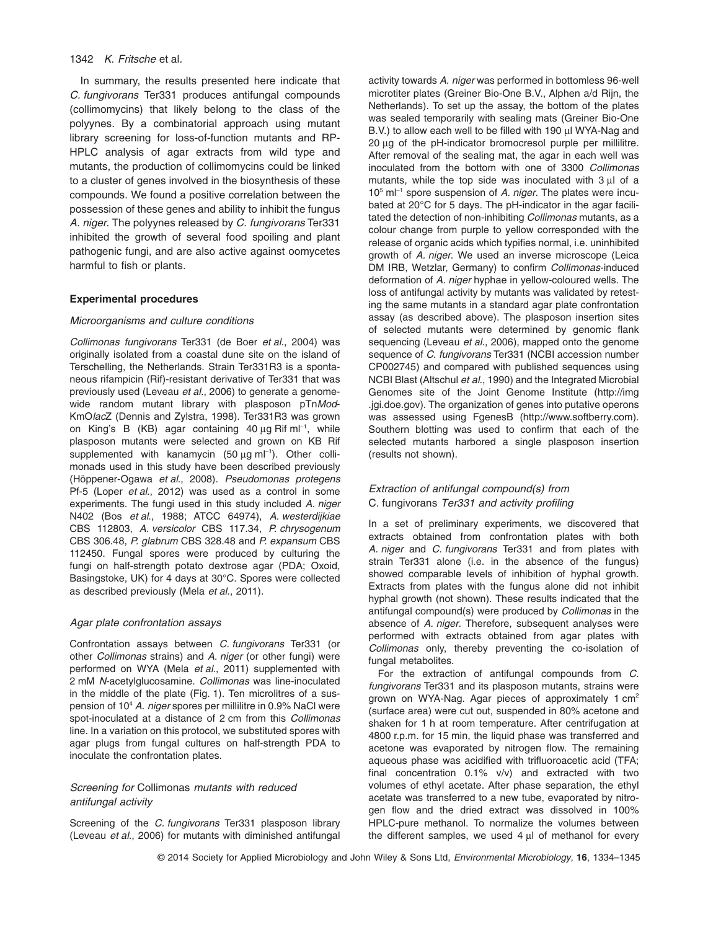# 1342 *K. Fritsche* et al*.*

In summary, the results presented here indicate that *C. fungivorans* Ter331 produces antifungal compounds (collimomycins) that likely belong to the class of the polyynes. By a combinatorial approach using mutant library screening for loss-of-function mutants and RP-HPLC analysis of agar extracts from wild type and mutants, the production of collimomycins could be linked to a cluster of genes involved in the biosynthesis of these compounds. We found a positive correlation between the possession of these genes and ability to inhibit the fungus *A. niger*. The polyynes released by *C. fungivorans* Ter331 inhibited the growth of several food spoiling and plant pathogenic fungi, and are also active against oomycetes harmful to fish or plants.

#### **Experimental procedures**

# *Microorganisms and culture conditions*

*Collimonas fungivorans* Ter331 (de Boer *et al*., 2004) was originally isolated from a coastal dune site on the island of Terschelling, the Netherlands. Strain Ter331R3 is a spontaneous rifampicin (Rif)-resistant derivative of Ter331 that was previously used (Leveau *et al*., 2006) to generate a genomewide random mutant library with plasposon pTn*Mod*-KmO*lac*Z (Dennis and Zylstra, 1998). Ter331R3 was grown on King's B (KB) agar containing 40 μg Rif ml<sup>−</sup><sup>1</sup> , while plasposon mutants were selected and grown on KB Rif supplemented with kanamycin (50 μg ml<sup>-1</sup>). Other collimonads used in this study have been described previously (Höppener-Ogawa *et al*., 2008). *Pseudomonas protegens* Pf-5 (Loper *et al*., 2012) was used as a control in some experiments. The fungi used in this study included *A. niger* N402 (Bos *et al*., 1988; ATCC 64974), *A. westerdijkiae* CBS 112803, *A. versicolor* CBS 117.34, *P. chrysogenum* CBS 306.48, *P. glabrum* CBS 328.48 and *P. expansum* CBS 112450. Fungal spores were produced by culturing the fungi on half-strength potato dextrose agar (PDA; Oxoid, Basingstoke, UK) for 4 days at 30°C. Spores were collected as described previously (Mela *et al*., 2011).

#### *Agar plate confrontation assays*

Confrontation assays between *C. fungivorans* Ter331 (or other *Collimonas* strains) and *A. niger* (or other fungi) were performed on WYA (Mela *et al*., 2011) supplemented with 2 mM *N*-acetylglucosamine. *Collimonas* was line-inoculated in the middle of the plate (Fig. 1). Ten microlitres of a suspension of 104 *A. niger* spores per millilitre in 0.9% NaCl were spot-inoculated at a distance of 2 cm from this *Collimonas* line. In a variation on this protocol, we substituted spores with agar plugs from fungal cultures on half-strength PDA to inoculate the confrontation plates.

# *Screening for* Collimonas *mutants with reduced antifungal activity*

Screening of the *C. fungivorans* Ter331 plasposon library (Leveau *et al*., 2006) for mutants with diminished antifungal

activity towards *A. niger* was performed in bottomless 96-well microtiter plates (Greiner Bio-One B.V., Alphen a/d Rijn, the Netherlands). To set up the assay, the bottom of the plates was sealed temporarily with sealing mats (Greiner Bio-One B.V.) to allow each well to be filled with 190 μl WYA-Nag and 20 μg of the pH-indicator bromocresol purple per millilitre. After removal of the sealing mat, the agar in each well was inoculated from the bottom with one of 3300 *Collimonas* mutants, while the top side was inoculated with 3 μl of a 105 ml<sup>−</sup><sup>1</sup> spore suspension of *A. niger*. The plates were incubated at 20°C for 5 days. The pH-indicator in the agar facilitated the detection of non-inhibiting *Collimonas* mutants, as a colour change from purple to yellow corresponded with the release of organic acids which typifies normal, i.e. uninhibited growth of *A. niger*. We used an inverse microscope (Leica DM IRB, Wetzlar, Germany) to confirm *Collimonas*-induced deformation of *A. niger* hyphae in yellow-coloured wells. The loss of antifungal activity by mutants was validated by retesting the same mutants in a standard agar plate confrontation assay (as described above). The plasposon insertion sites of selected mutants were determined by genomic flank sequencing (Leveau *et al*., 2006), mapped onto the genome sequence of *C. fungivorans* Ter331 (NCBI accession number CP002745) and compared with published sequences using NCBI Blast (Altschul *et al*., 1990) and the Integrated Microbial Genomes site of the Joint Genome Institute [\(http://img](http://img.jgi.doe.gov) [.jgi.doe.gov\)](http://img.jgi.doe.gov). The organization of genes into putative operons was assessed using FgenesB [\(http://www.softberry.com\)](http://www.softberry.com). Southern blotting was used to confirm that each of the selected mutants harbored a single plasposon insertion (results not shown).

# *Extraction of antifungal compound(s) from* C. fungivorans *Ter331 and activity profiling*

In a set of preliminary experiments, we discovered that extracts obtained from confrontation plates with both *A. niger* and *C. fungivorans* Ter331 and from plates with strain Ter331 alone (i.e. in the absence of the fungus) showed comparable levels of inhibition of hyphal growth. Extracts from plates with the fungus alone did not inhibit hyphal growth (not shown). These results indicated that the antifungal compound(s) were produced by *Collimonas* in the absence of *A. niger*. Therefore, subsequent analyses were performed with extracts obtained from agar plates with *Collimonas* only, thereby preventing the co-isolation of fungal metabolites.

For the extraction of antifungal compounds from *C. fungivorans* Ter331 and its plasposon mutants, strains were grown on WYA-Nag. Agar pieces of approximately 1 cm2 (surface area) were cut out, suspended in 80% acetone and shaken for 1 h at room temperature. After centrifugation at 4800 r.p.m. for 15 min, the liquid phase was transferred and acetone was evaporated by nitrogen flow. The remaining aqueous phase was acidified with trifluoroacetic acid (TFA; final concentration 0.1% v/v) and extracted with two volumes of ethyl acetate. After phase separation, the ethyl acetate was transferred to a new tube, evaporated by nitrogen flow and the dried extract was dissolved in 100% HPLC-pure methanol. To normalize the volumes between the different samples, we used 4 μl of methanol for every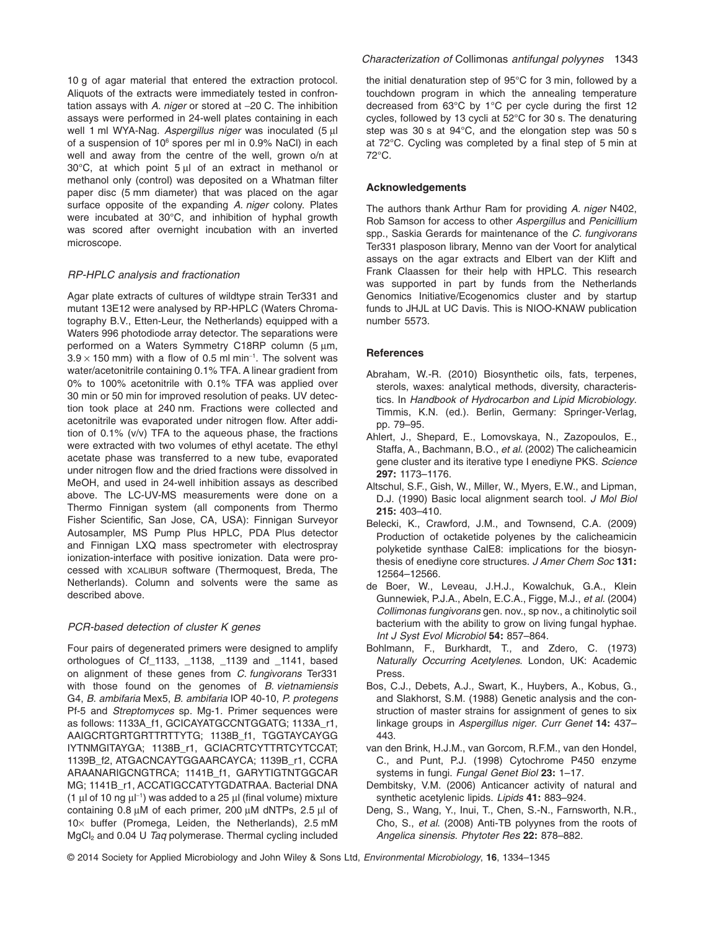10 g of agar material that entered the extraction protocol. Aliquots of the extracts were immediately tested in confrontation assays with *A. niger* or stored at −20 C. The inhibition assays were performed in 24-well plates containing in each well 1 ml WYA-Nag. *Aspergillus niger* was inoculated (5 μl of a suspension of 10<sup>6</sup> spores per ml in 0.9% NaCl) in each well and away from the centre of the well, grown o/n at 30°C, at which point 5 μl of an extract in methanol or methanol only (control) was deposited on a Whatman filter paper disc (5 mm diameter) that was placed on the agar surface opposite of the expanding *A. niger* colony. Plates were incubated at 30°C, and inhibition of hyphal growth was scored after overnight incubation with an inverted microscope.

## *RP-HPLC analysis and fractionation*

Agar plate extracts of cultures of wildtype strain Ter331 and mutant 13E12 were analysed by RP-HPLC (Waters Chromatography B.V., Etten-Leur, the Netherlands) equipped with a Waters 996 photodiode array detector. The separations were performed on a Waters Symmetry C18RP column (5 μm,  $3.9 \times 150$  mm) with a flow of 0.5 ml min<sup>-1</sup>. The solvent was water/acetonitrile containing 0.1% TFA. A linear gradient from 0% to 100% acetonitrile with 0.1% TFA was applied over 30 min or 50 min for improved resolution of peaks. UV detection took place at 240 nm. Fractions were collected and acetonitrile was evaporated under nitrogen flow. After addition of 0.1% (v/v) TFA to the aqueous phase, the fractions were extracted with two volumes of ethyl acetate. The ethyl acetate phase was transferred to a new tube, evaporated under nitrogen flow and the dried fractions were dissolved in MeOH, and used in 24-well inhibition assays as described above. The LC-UV-MS measurements were done on a Thermo Finnigan system (all components from Thermo Fisher Scientific, San Jose, CA, USA): Finnigan Surveyor Autosampler, MS Pump Plus HPLC, PDA Plus detector and Finnigan LXQ mass spectrometer with electrospray ionization-interface with positive ionization. Data were processed with XCALIBUR software (Thermoquest, Breda, The Netherlands). Column and solvents were the same as described above.

# *PCR-based detection of cluster K genes*

Four pairs of degenerated primers were designed to amplify orthologues of Cf\_1133, \_1138, \_1139 and \_1141, based on alignment of these genes from *C. fungivorans* Ter331 with those found on the genomes of *B. vietnamiensis* G4, *B. ambifaria* Mex5, *B. ambifaria* IOP 40-10, *P. protegens* Pf-5 and *Streptomyces* sp. Mg-1. Primer sequences were as follows: 1133A\_f1, GCICAYATGCCNTGGATG; 1133A\_r1, AAIGCRTGRTGRTTRTTYTG; 1138B\_f1, TGGTAYCAYGG IYTNMGITAYGA; 1138B\_r1, GCIACRTCYTTRTCYTCCAT; 1139B\_f2, ATGACNCAYTGGAARCAYCA; 1139B\_r1, CCRA ARAANARIGCNGTRCA; 1141B\_f1, GARYTIGTNTGGCAR MG; 1141B\_r1, ACCATIGCCATYTGDATRAA. Bacterial DNA (1  $\mu$ l of 10 ng  $\mu$ l<sup>-1</sup>) was added to a 25  $\mu$ l (final volume) mixture containing 0.8 μM of each primer, 200 μM dNTPs, 2.5 μl of 10× buffer (Promega, Leiden, the Netherlands), 2.5 mM MgCl2 and 0.04 U *Taq* polymerase. Thermal cycling included the initial denaturation step of 95°C for 3 min, followed by a touchdown program in which the annealing temperature decreased from 63°C by 1°C per cycle during the first 12 cycles, followed by 13 cycli at 52°C for 30 s. The denaturing step was 30 s at 94°C, and the elongation step was 50 s at 72°C. Cycling was completed by a final step of 5 min at 72°C.

#### **Acknowledgements**

The authors thank Arthur Ram for providing *A. niger* N402, Rob Samson for access to other *Aspergillus* and *Penicillium* spp., Saskia Gerards for maintenance of the *C. fungivorans* Ter331 plasposon library, Menno van der Voort for analytical assays on the agar extracts and Elbert van der Klift and Frank Claassen for their help with HPLC. This research was supported in part by funds from the Netherlands Genomics Initiative/Ecogenomics cluster and by startup funds to JHJL at UC Davis. This is NIOO-KNAW publication number 5573.

# **References**

- Abraham, W.-R. (2010) Biosynthetic oils, fats, terpenes, sterols, waxes: analytical methods, diversity, characteristics. In *Handbook of Hydrocarbon and Lipid Microbiology*. Timmis, K.N. (ed.). Berlin, Germany: Springer-Verlag, pp. 79–95.
- Ahlert, J., Shepard, E., Lomovskaya, N., Zazopoulos, E., Staffa, A., Bachmann, B.O., *et al*. (2002) The calicheamicin gene cluster and its iterative type I enediyne PKS. *Science* **297:** 1173–1176.
- Altschul, S.F., Gish, W., Miller, W., Myers, E.W., and Lipman, D.J. (1990) Basic local alignment search tool. *J Mol Biol* **215:** 403–410.
- Belecki, K., Crawford, J.M., and Townsend, C.A. (2009) Production of octaketide polyenes by the calicheamicin polyketide synthase CalE8: implications for the biosynthesis of enediyne core structures. *J Amer Chem Soc* **131:** 12564–12566.
- de Boer, W., Leveau, J.H.J., Kowalchuk, G.A., Klein Gunnewiek, P.J.A., Abeln, E.C.A., Figge, M.J., *et al*. (2004) *Collimonas fungivorans* gen. nov., sp nov., a chitinolytic soil bacterium with the ability to grow on living fungal hyphae. *Int J Syst Evol Microbiol* **54:** 857–864.
- Bohlmann, F., Burkhardt, T., and Zdero, C. (1973) *Naturally Occurring Acetylenes*. London, UK: Academic Press.
- Bos, C.J., Debets, A.J., Swart, K., Huybers, A., Kobus, G., and Slakhorst, S.M. (1988) Genetic analysis and the construction of master strains for assignment of genes to six linkage groups in *Aspergillus niger*. *Curr Genet* **14:** 437– 443.
- van den Brink, H.J.M., van Gorcom, R.F.M., van den Hondel, C., and Punt, P.J. (1998) Cytochrome P450 enzyme systems in fungi. *Fungal Genet Biol* **23:** 1–17.
- Dembitsky, V.M. (2006) Anticancer activity of natural and synthetic acetylenic lipids. *Lipids* **41:** 883–924.
- Deng, S., Wang, Y., Inui, T., Chen, S.-N., Farnsworth, N.R., Cho, S., *et al*. (2008) Anti-TB polyynes from the roots of *Angelica sinensis*. *Phytoter Res* **22:** 878–882.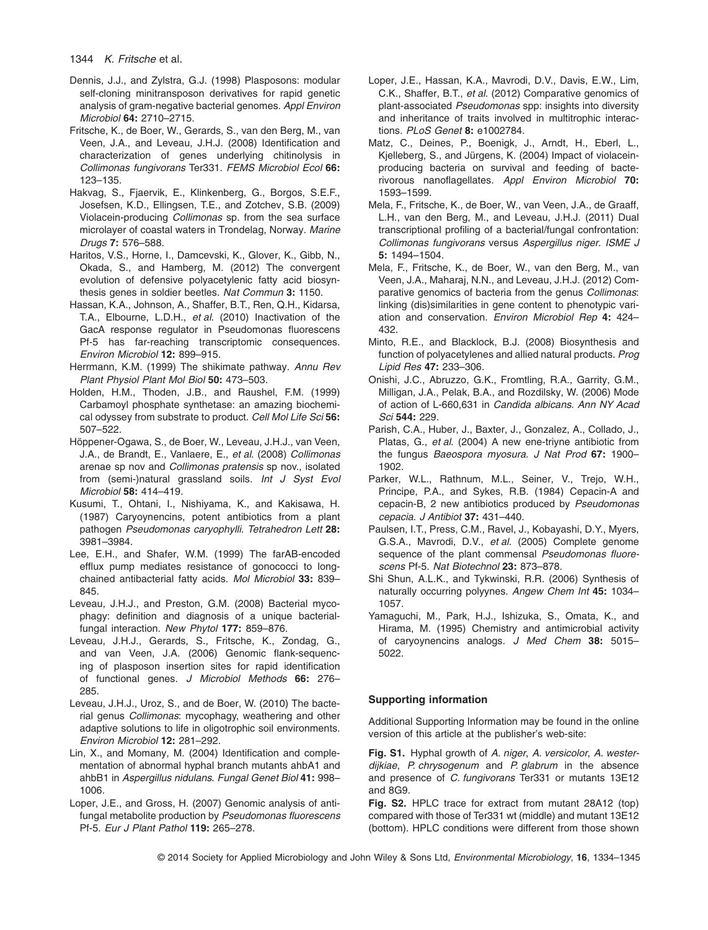- Dennis, J.J., and Zylstra, G.J. (1998) Plasposons: modular self-cloning minitransposon derivatives for rapid genetic analysis of gram-negative bacterial genomes. *Appl Environ Microbiol* **64:** 2710–2715.
- Fritsche, K., de Boer, W., Gerards, S., van den Berg, M., van Veen, J.A., and Leveau, J.H.J. (2008) Identification and characterization of genes underlying chitinolysis in *Collimonas fungivorans* Ter331. *FEMS Microbiol Ecol* **66:** 123–135.
- Hakvag, S., Fjaervik, E., Klinkenberg, G., Borgos, S.E.F., Josefsen, K.D., Ellingsen, T.E., and Zotchev, S.B. (2009) Violacein-producing *Collimonas* sp. from the sea surface microlayer of coastal waters in Trondelag, Norway. *Marine Drugs* **7:** 576–588.
- Haritos, V.S., Horne, I., Damcevski, K., Glover, K., Gibb, N., Okada, S., and Hamberg, M. (2012) The convergent evolution of defensive polyacetylenic fatty acid biosynthesis genes in soldier beetles. *Nat Commun* **3:** 1150.
- Hassan, K.A., Johnson, A., Shaffer, B.T., Ren, Q.H., Kidarsa, T.A., Elbourne, L.D.H., *et al*. (2010) Inactivation of the GacA response regulator in Pseudomonas fluorescens Pf-5 has far-reaching transcriptomic consequences. *Environ Microbiol* **12:** 899–915.
- Herrmann, K.M. (1999) The shikimate pathway. *Annu Rev Plant Physiol Plant Mol Biol* **50:** 473–503.
- Holden, H.M., Thoden, J.B., and Raushel, F.M. (1999) Carbamoyl phosphate synthetase: an amazing biochemical odyssey from substrate to product. *Cell Mol Life Sci* **56:** 507–522.
- Höppener-Ogawa, S., de Boer, W., Leveau, J.H.J., van Veen, J.A., de Brandt, E., Vanlaere, E., *et al*. (2008) *Collimonas* arenae sp nov and *Collimonas pratensis* sp nov., isolated from (semi-)natural grassland soils. *Int J Syst Evol Microbiol* **58:** 414–419.
- Kusumi, T., Ohtani, I., Nishiyama, K., and Kakisawa, H. (1987) Caryoynencins, potent antibiotics from a plant pathogen *Pseudomonas caryophylli*. *Tetrahedron Lett* **28:** 3981–3984.
- Lee, E.H., and Shafer, W.M. (1999) The farAB-encoded efflux pump mediates resistance of gonococci to longchained antibacterial fatty acids. *Mol Microbiol* **33:** 839– 845.
- Leveau, J.H.J., and Preston, G.M. (2008) Bacterial mycophagy: definition and diagnosis of a unique bacterialfungal interaction. *New Phytol* **177:** 859–876.
- Leveau, J.H.J., Gerards, S., Fritsche, K., Zondag, G., and van Veen, J.A. (2006) Genomic flank-sequencing of plasposon insertion sites for rapid identification of functional genes. *J Microbiol Methods* **66:** 276– 285.
- Leveau, J.H.J., Uroz, S., and de Boer, W. (2010) The bacterial genus *Collimonas*: mycophagy, weathering and other adaptive solutions to life in oligotrophic soil environments. *Environ Microbiol* **12:** 281–292.
- Lin, X., and Momany, M. (2004) Identification and complementation of abnormal hyphal branch mutants ahbA1 and ahbB1 in *Aspergillus nidulans*. *Fungal Genet Biol* **41:** 998– 1006.
- Loper, J.E., and Gross, H. (2007) Genomic analysis of antifungal metabolite production by *Pseudomonas fluorescens* Pf-5. *Eur J Plant Pathol* **119:** 265–278.
- Loper, J.E., Hassan, K.A., Mavrodi, D.V., Davis, E.W., Lim, C.K., Shaffer, B.T., *et al*. (2012) Comparative genomics of plant-associated *Pseudomonas* spp: insights into diversity and inheritance of traits involved in multitrophic interactions. *PLoS Genet* **8:** e1002784.
- Matz, C., Deines, P., Boenigk, J., Arndt, H., Eberl, L., Kjelleberg, S., and Jürgens, K. (2004) Impact of violaceinproducing bacteria on survival and feeding of bacterivorous nanoflagellates. *Appl Environ Microbiol* **70:** 1593–1599.
- Mela, F., Fritsche, K., de Boer, W., van Veen, J.A., de Graaff, L.H., van den Berg, M., and Leveau, J.H.J. (2011) Dual transcriptional profiling of a bacterial/fungal confrontation: *Collimonas fungivorans* versus *Aspergillus niger*. *ISME J* **5:** 1494–1504.
- Mela, F., Fritsche, K., de Boer, W., van den Berg, M., van Veen, J.A., Maharaj, N.N., and Leveau, J.H.J. (2012) Comparative genomics of bacteria from the genus *Collimonas*: linking (dis)similarities in gene content to phenotypic variation and conservation. *Environ Microbiol Rep* **4:** 424– 432.
- Minto, R.E., and Blacklock, B.J. (2008) Biosynthesis and function of polyacetylenes and allied natural products. *Prog Lipid Res* **47:** 233–306.
- Onishi, J.C., Abruzzo, G.K., Fromtling, R.A., Garrity, G.M., Milligan, J.A., Pelak, B.A., and Rozdilsky, W. (2006) Mode of action of L-660,631 in *Candida albicans*. *Ann NY Acad Sci* **544:** 229.
- Parish, C.A., Huber, J., Baxter, J., Gonzalez, A., Collado, J., Platas, G., *et al*. (2004) A new ene-triyne antibiotic from the fungus *Baeospora myosura*. *J Nat Prod* **67:** 1900– 1902.
- Parker, W.L., Rathnum, M.L., Seiner, V., Trejo, W.H., Principe, P.A., and Sykes, R.B. (1984) Cepacin-A and cepacin-B, 2 new antibiotics produced by *Pseudomonas cepacia*. *J Antibiot* **37:** 431–440.
- Paulsen, I.T., Press, C.M., Ravel, J., Kobayashi, D.Y., Myers, G.S.A., Mavrodi, D.V., *et al*. (2005) Complete genome sequence of the plant commensal *Pseudomonas fluorescens* Pf-5. *Nat Biotechnol* **23:** 873–878.
- Shi Shun, A.L.K., and Tykwinski, R.R. (2006) Synthesis of naturally occurring polyynes. *Angew Chem Int* **45:** 1034– 1057.
- Yamaguchi, M., Park, H.J., Ishizuka, S., Omata, K., and Hirama, M. (1995) Chemistry and antimicrobial activity of caryoynencins analogs. *J Med Chem* **38:** 5015– 5022.

## **Supporting information**

Additional Supporting Information may be found in the online version of this article at the publisher's web-site:

**Fig. S1.** Hyphal growth of *A. niger*, *A. versicolor*, *A. westerdijkiae*, *P. chrysogenum* and *P. glabrum* in the absence and presence of *C. fungivorans* Ter331 or mutants 13E12 and 8G9.

**Fig. S2.** HPLC trace for extract from mutant 28A12 (top) compared with those of Ter331 wt (middle) and mutant 13E12 (bottom). HPLC conditions were different from those shown